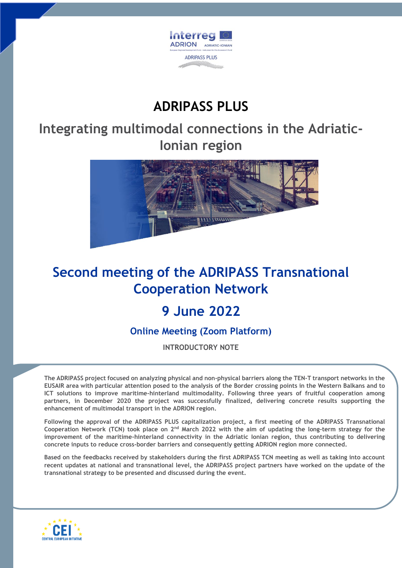

## **ADRIPASS PLUS**

**Integrating multimodal connections in the Adriatic-Ionian region**



## **Second meeting of the ADRIPASS Transnational Cooperation Network**

## **9 June 2022**

**Online Meeting (Zoom Platform)**

**INTRODUCTORY NOTE**

**The ADRIPASS project focused on analyzing physical and non-physical barriers along the TEN-T transport networks in the EUSAIR area with particular attention posed to the analysis of the Border crossing points in the Western Balkans and to ICT solutions to improve maritime-hinterland multimodality. Following three years of fruitful cooperation among partners, in December 2020 the project was successfully finalized, delivering concrete results supporting the enhancement of multimodal transport in the ADRION region.**

**Following the approval of the ADRIPASS PLUS capitalization project, a first meeting of the ADRIPASS Transnational Cooperation Network (TCN) took place on 2nd March 2022 with the aim of updating the long-term strategy for the improvement of the maritime-hinterland connectivity in the Adriatic Ionian region, thus contributing to delivering concrete inputs to reduce cross-border barriers and consequently getting ADRION region more connected.**

**Based on the feedbacks received by stakeholders during the first ADRIPASS TCN meeting as well as taking into account recent updates at national and transnational level, the ADRIPASS project partners have worked on the update of the transnational strategy to be presented and discussed during the event.**